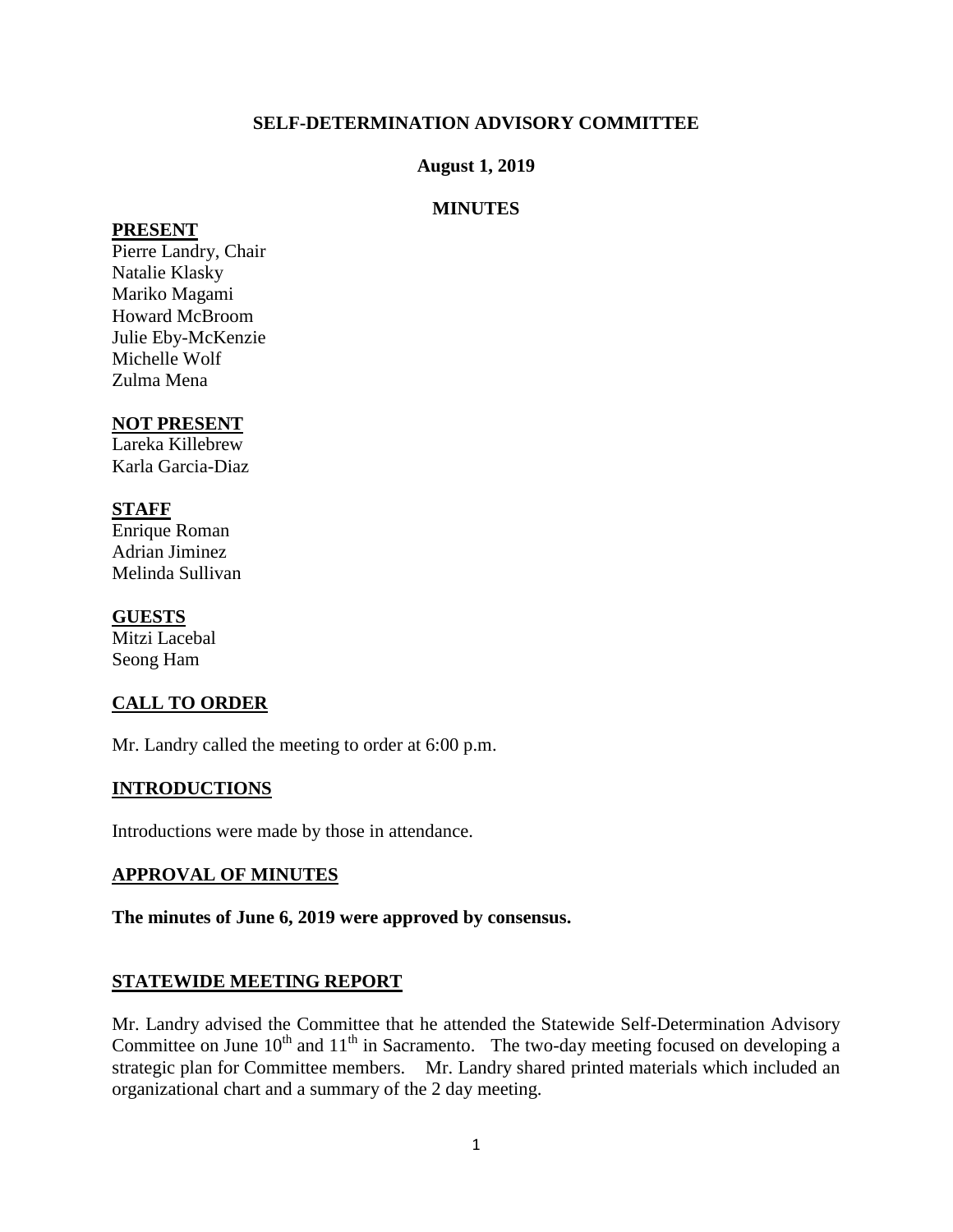# **SELF-DETERMINATION ADVISORY COMMITTEE**

### **August 1, 2019**

# **MINUTES**

#### **PRESENT**

Pierre Landry, Chair Natalie Klasky Mariko Magami Howard McBroom Julie Eby-McKenzie Michelle Wolf Zulma Mena

# **NOT PRESENT**

Lareka Killebrew Karla Garcia-Diaz

# **STAFF**

Enrique Roman Adrian Jiminez Melinda Sullivan

### **GUESTS**

Mitzi Lacebal Seong Ham

# **CALL TO ORDER**

Mr. Landry called the meeting to order at 6:00 p.m.

# **INTRODUCTIONS**

Introductions were made by those in attendance.

### **APPROVAL OF MINUTES**

### **The minutes of June 6, 2019 were approved by consensus.**

### **STATEWIDE MEETING REPORT**

Mr. Landry advised the Committee that he attended the Statewide Self-Determination Advisory Committee on June  $10^{th}$  and  $11^{th}$  in Sacramento. The two-day meeting focused on developing a strategic plan for Committee members. Mr. Landry shared printed materials which included an organizational chart and a summary of the 2 day meeting.